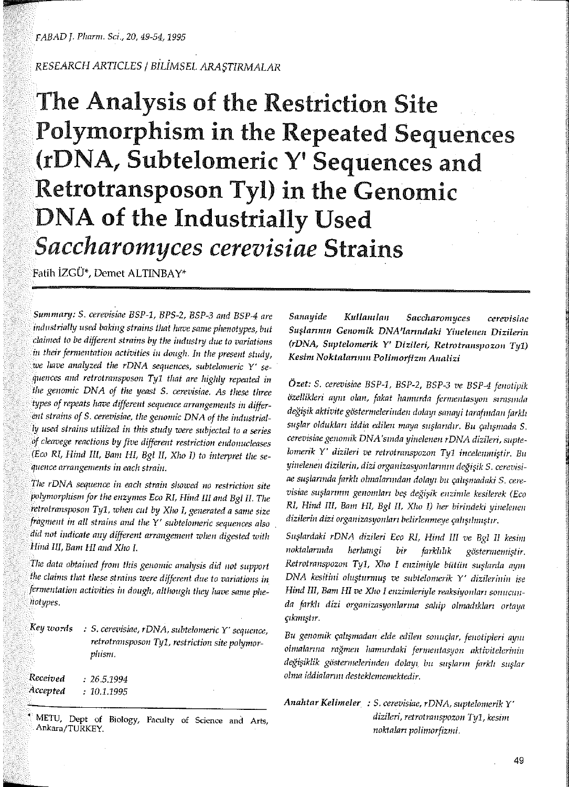FABAD J. Pharm. Sci., 20, 49-54, 1995

RESEARCH ARTICLES / BILİMSEL ARASTIRMALAR

The Analysis of the Restriction Site Polymorphism in the Repeated Sequences (rDNA, Subtelomeric Y' Sequences and Retrotransposon Tyl) in the Genomic DNA of the Industrially Used Saccharomyces cerevisiae Strains

Fatih İZGÜ\*, Demet ALTINBAY\*

Summary: S. cerevisiae BSP-1, BPS-2, BSP-3 and BSP-4 are industrially used baking strains that have same phenotypes, but claimed to be different strains by the industry due to variations in their fermentation activities in dough. In the present study, we luve analyzed the rDNA sequences, subtelomeric Y' sequences and retrotransposon Ty1 that are highly repeated in the genomic DNA of the yeast S. cerevisiae. As these three types of repeats have different sequence arrangements in different strains of S. cerevisiae, the genomic DNA of the industrially used strains utilized in this study were subjected to a series of cleavege reactions by five different restriction endonucleases (Eco RI, Hind III, Bam HI, Bgl II, Xho I) to interpret the sequence arrangements in each strain.

The rDNA sequence in each strain showed no restriction site polymorphism for the enzymes Eco RI, Hind III and BgI II. The retrotransposon Ty1, when cut by Xho I, generated a same size fragment in all strains and the Y' subtelomeric sequences also did not indicate any different arrangement when digested with Hind III, Bam HI and Xho I.

The data obtained from this genomic analysis did not support the claims that these strains were different due to variations in fermentation activities in dough, although they have same phenotypes.

Key words : S. cerevisiae, rDNA, subtelomeric Y' sequence, retrotransposon Ty1, restriction site polymorphism.

Received  $: 26.5.1994$ Accepted  $: 10.1.1995$ 

METU, Dept of Biology, Faculty of Science and Arts, Ankara/TURKEY.

Sanayide Kullanılan Saccharomyces cerevisiae Suslarının Genomik DNA'larındaki Yinelenen Dizilerin (rDNA, Suptelomerik Y' Dizileri, Retrotranspozon Ty1) Kesim Noktalarının Polimorfizm Analizi

Özet: S. cerevisiae BSP-1, BSP-2, BSP-3 ve BSP-4 fenotipik özellikleri aynı olan, fakat hamurda fermentasyon sırasında değişik aktivite göstermelerinden dolayı sanayi tarafından farklı suşlar oldukları iddia edilen maya suşlarıdır. Bu çalışmada S. cerevisiae genomik DNA'sında yinelenen rDNA dizileri, suptelomerik Y' dizileri ve retrotranspozon Ty1 incelenmiştir. Bu yinelenen dizilerin, dizi organizasyonlarının değişik S. cerevisiae suşlarında farklı olmalarından dolayı bu çalışmadaki S. cerevisiae suşlarının genomları beş değişik enzimle kesilerek (Eco RI, Hind III, Bam HI, Bgl II, Xho I) her birindeki yinelenen dizilerin dizi organizasyonları belirlenmeye çalışılmıştır.

Suşlardaki rDNA dizileri Eco RI, Hind III ve Bgl II kesim noktalarında herhangi bir farklılık göstermemiştir. Retrotranspozon Ty1, Xho I enzimiyle bütün suşlarda aynı DNA kesitini oluşturmuş ve subtelomerik Y' dizilerinin ise Hind III, Bam HI ve Xho I enzimleriyle reaksiyonları sonucunda farklı dizi organizasyonlarına sahip olmadıkları ortaya çıkmıştır.

Bu genomik çalışmadan elde edilen sonuçlar, fenotipleri aynı olmalarına rağmen hamurdaki fermentasyon aktivitelerinin değişiklik göstermelerinden dolayı bu suşların farklı suşlar olma iddialarını desteklememektedir.

Anahtar Kelimeler : S. cerevisiae, rDNA, suptelomerik Y' dizileri, retrotranspozon Ty1, kesim noktaları polimorfizmi.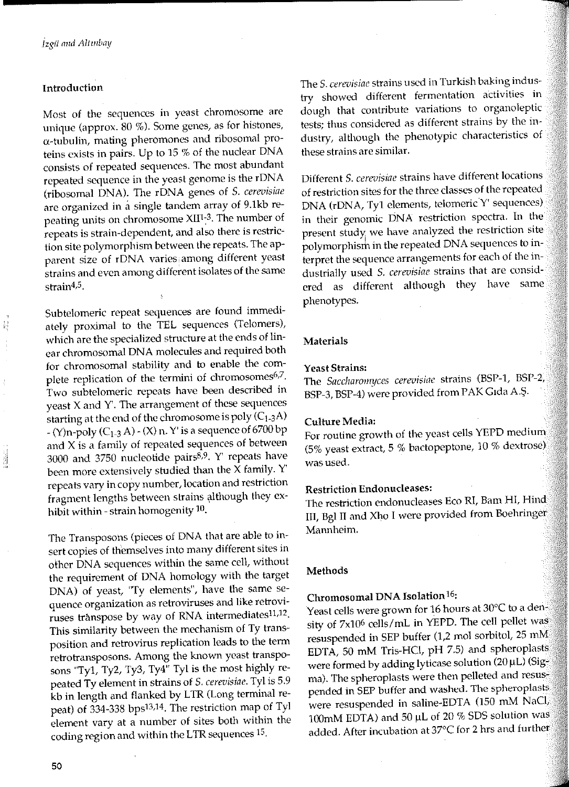## Introduction

H

j.

Most of the sequences in yeast chromosome are unique (approx.  $80$  %). Some genes, as for histones, a-tubulin, mating pheromones and ribosornal proteins exists in pairs. Up to 15 % of the nuclear ONA consists of repeated sequences. The most abundant repeated sequence in the yeast genome is the rDNA (ribosomal ONA). The rONA genes of S. *cerevisiae*  arc organizcd in a single tandem array of 9.lkb repeating units on chromosome XII1~3. The number of  $r^2$  epeats is strain-dependent, and also there is restriction site polymorphism between the repeats. The apparent size of rONA varies; among different yeast strains and evcn among different isolates of the same strain4,5.

Subtelomeric repeat sequences are found immediately proximal to the TEL sequences (Telomers), which are the specialized structure at the ends of linear chromosomal DNA molecules and required both for chromosomal stability and to enable the complete replication of the termini of chromosomes<sup>6,7</sup>. Two subtelomeric repeats have been described in yeast  $X$  and  $Y'$ . The arrangement of these sequences starting at the end of the chromosome is poly  $(C_{1-3}A)$  $-(Y)$ n-poly (C<sub>1-3</sub> A)  $-(X)$  n. Y' is a sequence of 6700 bp and X is a family of repealed sequences of between 3000 and 3750 nucleotide pairs $8.9$ . Y' repeats have been more cxtensively studied than the X family. Y' repeats vary in copy number, location and restriction fragment lengths between strains although they exhibit within - strain homogenity <sup>10</sup>.

The Transposons (pieces of ONA that are able to insert copies of themselves into many different sites in other DNA sequences within the same cell, without the requirement of ONA homology with the target ONA) of yeast, "Ty elements", have the same sequence organization as retroviruses and like retroviruses tránspose by way of RNA intermediates<sup>11,12</sup>. This similarity between the mechanism of Ty transposition and retrovirus replication leads to the term retrotransposons. Among the known yeast transposons "Tyl, Ty2, Ty3, Ty4" Tyl is the most highly repeated Ty element in strains of S. *cerevisiae.* Tyl is 5.9 kb in length and flanked by LTR (Long terminal repeat) of 334-338 bps<sup>13,14</sup>. The restriction map of Tyl element vary at a number of sites both within the coding region and within the LTR sequences 15.

**TI1e S.** *cerevisiac* **strains uscd in Turkish baking indus**try showed different fermentation activities in dough that contribute variations to organoleptic tests; thus considered as different strains by the industry, although the phenotypic characteristics of **these strains are similar.** 

Different S. *cerevisiae* strains have different locations of restriction sites for the three classes of the repeated ONA (rONA, Tyl elements, telomericY' sequences) in their genomic ONA restriction spectra. in the **prescnt study: we have analyzed the restriction site**  polymorphism in the repeated DNA sequences to interpret the sequence arrangements for each of the industrially used S. *cerevisiae* strains that are considered as different although they have same phenotypes.

# Materials

## Yeast Strains:

The Saccharoınyces *cerevisiae* strains (BSP-1, BSP-2, BSP-3, BSP-4) were provided from PAK Gıda A.Ş.

### Culture Media:

For routine growth of the yeast cells YEPD medium (5% yeast extract, 5 % bactopeptone, 10 % dextrose) wasused.

#### Restriction Endonucleases:

The restriction endonucleases Eco Rl, Bam Hl, Hind III, Bgl il and Xho 1 were provided from Boehringer **Mannheim.** 

# Methods

# Chromosomal DNA Isolation 16:

Yeast cells were grown for 16 hours at 30°C to a density of 7x106 cells/mL in YEPD. The celi pellet was resuspended in SEP buffer (1,2 mol sorbitol, 25 mM EOTA, 50 mM Tris-HCI, pH 7.5) and spheroplasts were formed by adding lyticase solution (20 µL) (Sigma). The spheroplasts were then pelleted and resuspended in SEP buffer and washcd. The spheroplasts were resuspended in saline-EDTA (150 mM NaCI) lOOmM EOTA) and 50 µL of 20 % SOS solution was added. After incubation at 37°C for 2 hrs and further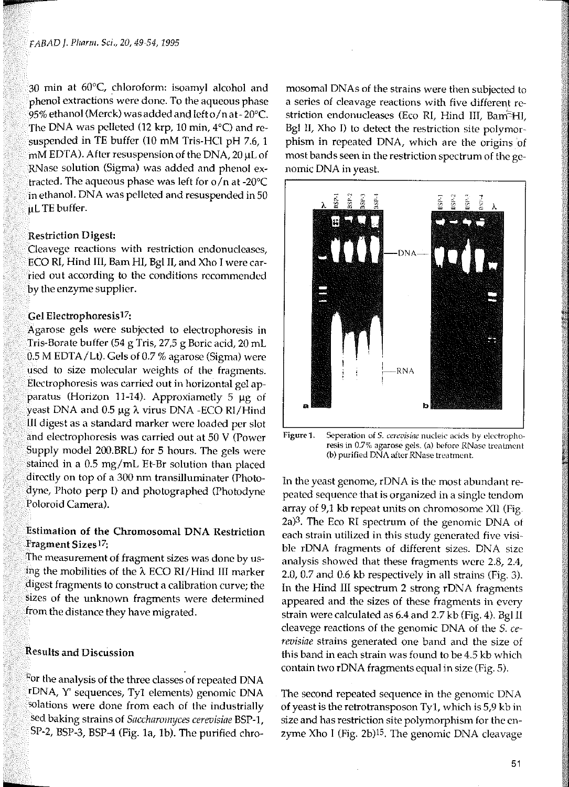30 min at 60°C, chloroform: isoamyl alcohol and <sup>p</sup>henol extractions were done. To the aqueous phase 95% ethanol (Merek) was added and left o/ n at- 20°C. The DNA was pelleted (12 krp, 10 min, 4°C) and resuspended in TE buffer (10 mM Tris-HCI pH 7.6, 1  $mM$  EDTA). After resuspension of the DNA, 20  $\mu$ L of RNase solution (Sigma) was added and phenol extracted. The aqueous phase was left for o/n at-20°C in ethanol. DNA was pelleted and resuspended in 50 µL TE buffer.

## Restriction Oigest:

**Cleavege reactions with restriction cndonucleascs,**  ECO RI, Hind III, Bam Hl, Bgl 11, and Xho 1 were carried out according to the conditions recommended by the enzyme supplicr.

## Gel Electrophoresis17:

Agarose gels were subjccted to electrophoresis in Tris-Borate buffer (54 g Tris, 27,5 g Boric acid, 20 mL 0.5 M EOTA/Lt). Gels of 0.7 % agarose (Sigma) were used to size molecular weights of the fragments. Elcctrophoresis was carried out in horizontal gel apparatus (Horizon 11-14). Approxiametly 5 µg of yeast DNA and  $0.5 \mu g \lambda$  virus DNA -ECO RI/Hind III digest as a standard marker were loaded per slot and electrophoresis was carried out at 50 V (Power Supply model 200.BRL) for 5 hours. The gels were staincd in a 0.5 mg/mL Et-Br solution than placed directly on top of a 300 nm transilluminater (Photodyne, Photo perp !) and photographed (Photodyne Poloroid Camera).

# Estimation of the Chromosomal ONA Restriclion Fragment Sizes17:

The measurement of fragment sizes was done by using the mobilities of the  $\lambda$  ECO RI/Hind III marker digest fragments to construct a calibration curve; the sizes of the unknown fragments were determined from the distance they have migrated.

# Results and Oiscussion

For the analysis of the three classes of repeated DNA rDNA, Y' sequences, Tyl elements) genomic ONA solations were done from each of the industrially sed baking strains of Sacclıaroınyces *cerevisiae* BSP-1, SP-2, BSP-3, BSP-4 (Fig. la, lb). The purified chro-

mosomal ON As of the strains were then subjected to a series of cleavage reactions with five different restriction endonucleases (Eco RI, Hind III, Bam<sup>5</sup>HI, Bgl II, Xho I) to detect the restriction site polymorphism in repeated DNA, which are the origins of most bands seen in the restriction spectrum of the ge nomic ONA in yeast.



**Figure 1.** Seperation of *S. cerevisiae* nucleic acids by electropho**resis in 0.7% agarose gels. (a)** befon~ **RNasc trcatmcnt (b) purified DNA aftcr RNase treatment.** 

In the yeast genome, rDNA is the most abundant repeatcd sequence that is organized in a singlc tcndom array of 9,1 kb repeat units on chromosome Xll (Fig  $2a$ <sup>3</sup>. The Eco RI spectrum of the genomic DNA of **each strain utilizcd in this study gcncratcd five visi** ble rDNA fragments of different sizes. DNA size analysis showed that these fragments were 2.8, 2.4, 2.0, 0.7 and 0.6 kb respectively in ali strains (Fig. 3). In the Hind III spectrum 2 strong rDNA fragments appeared and the sizes of these fragments in every strain were calculated as 6.4 and 2.7 kb (Fig. 4). Bgl II cleavege reactions of the genomic ONA of the *S. ce revisiae* strains generated one band and the size of<br>this band in each strain was found to be 4.5 kb which<br>contain two rDNA fragments equal in size (Fig. 5).<br>The second repeated sequence in the genomic DNA<br>of yeast is the

zyme Xho 1 (Fig. 2b)15. The genomic ONA cleavage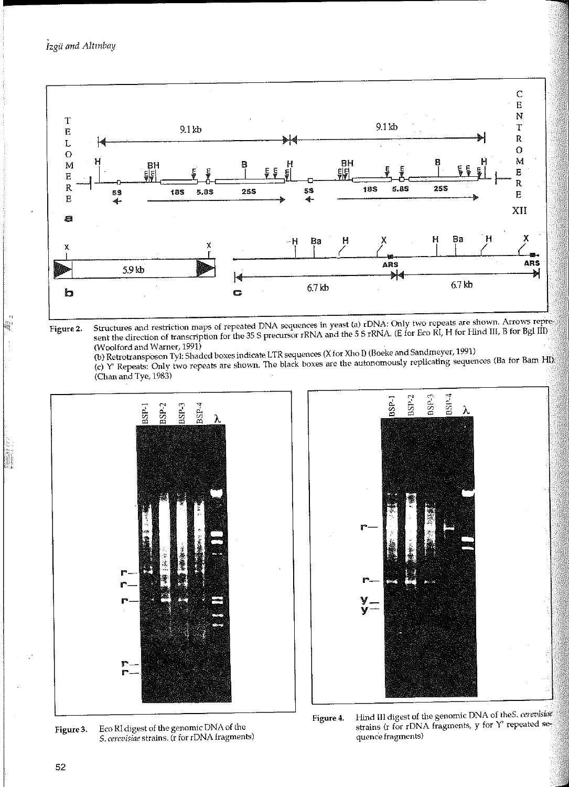

Structures and restriction maps of repeated DNA sequences in yeast (a) rDNA: Only two repeats are shown. Arrows repressent the direction of transcription for the 35 S precursor rRNA and the 5 S rRNA. (E for Eco RI, H for H Figure 2. (Woolford and Warner, 1991)

(b) Retrotransposon Tyl: Shaded boxes indicate LTR sequences (X for Xho I) (Boeke and Sandmeyer, 1991) (c) Y' Repeats: Only two repeats are shown. The black boxes are the autonomously replicating sequences (Ba for Bam HI) (Chan and Tye, 1983)



Eco RI digest of the genomic DNA of the Figure 3. S. cerevisiae strains. (r for rDNA fragments)



Hind III digest of the genomic DNA of the S. cerevisiae Figure 4. strains (r for rDNA fragments, y for Y' repeated sequence fragments)

Xendral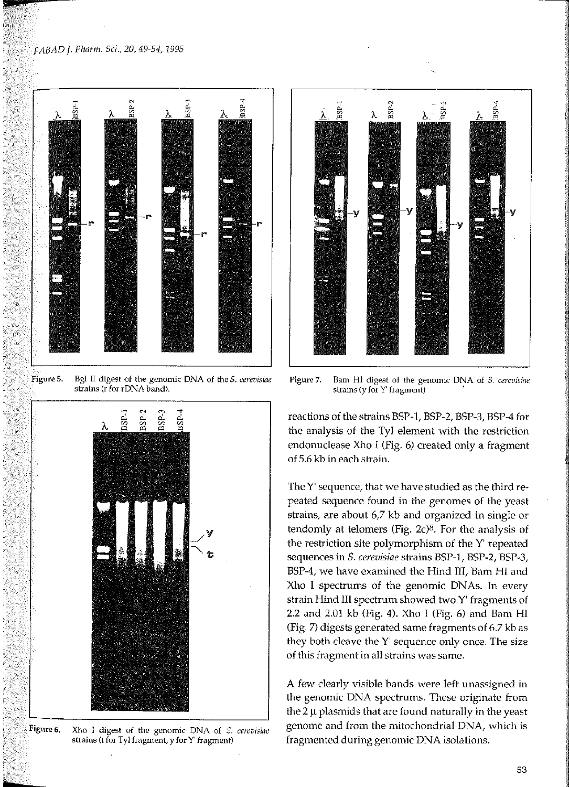

**Figure 5. Bgl il digest of the genomic ONA of thc S.** *cerevisine*  **strains (r for rDNA band).** 



**Figure 6. Xho 1 digest of the genomic DNA of S.** *cerevisiae*  **strains (t for Tyl fragment, y for Y' fragment)** 



**Figurc 7. Bam Hl digest of the genomic DNA of S.** *cerevisine*  **strains (y for Y' fragment)** '

reactions of the strains BSP-1, BSP-2, BSP-3, BSP-4 for the analysis of the Tyl element with the restriction endonuclease Xho I (Fig. 6) created only a fragment of 5.6 kb in each strain.

Thc Y' sequence, that we have studied as the third repeated sequencc found in the genomes of the yeast strains, are about 6,7 kb and organized in single or tendomly at telomers (Fig. 2c) $8$ . For the analysis of the restriction site polymorphism of the Y' repeated sequences in S. *cerevisiae* strains BSP-1, BSP-2, BSP-3, BSP-4, we have examined the Hind III, Bam HI and Xho I spectrurns of the genornic DNAs. **in** every strain Hind III spectrum showed two Y' fragments of 2.2 and 2.01 kb (Fig. 4). Xho I (Fig. 6) and Bam HI (Fig. 7) digcsts generated sarne fragments of 6.7 kb as they both cleave the Y' sequence only once. The size of this fragrnent in ali strains was sarne.

A few clearly visible bands were left unassigned in the genomic DNA spectrums. These originate from the 2  $\mu$  plasmids that are found naturally in the yeast genome and from the mitochondrial DNA, which is fragmented during genomic DNA isolations.